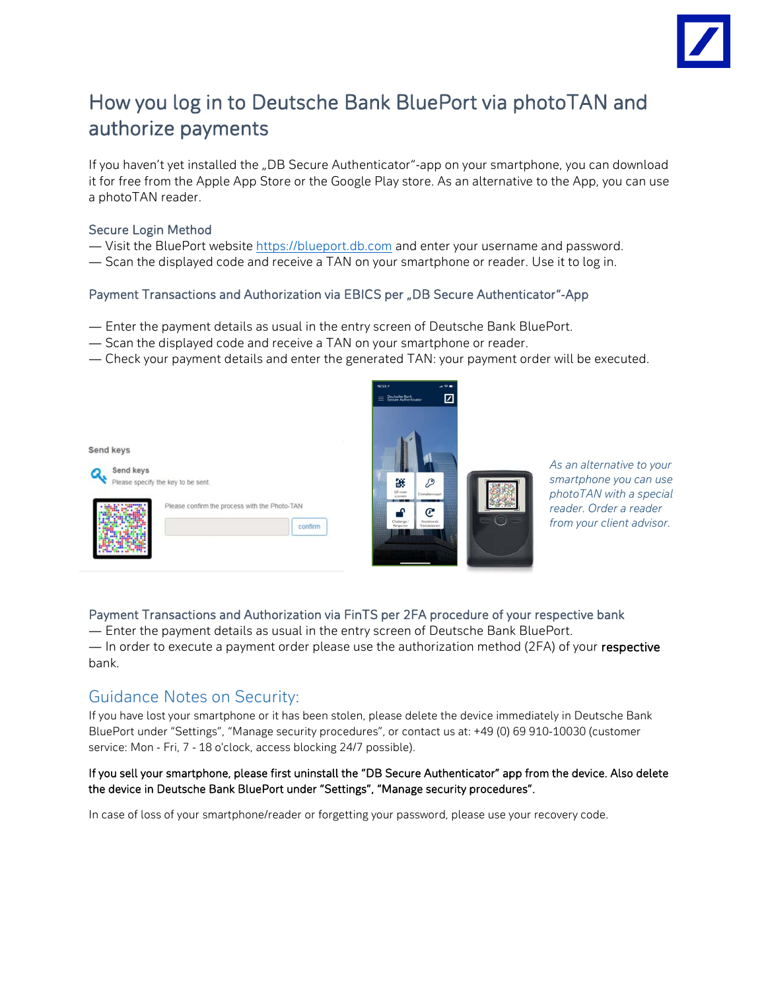

# How you log in to Deutsche Bank BluePort via photoTAN and authorize payments

If you haven't yet installed the "DB Secure Authenticator"-app on your smartphone, you can download it for free from the Apple App Store or the Google Play store. As an alternative to the App, you can use a photoTAN reader.

#### Secure Login Method

- Visit the BluePort website [https://blueport.db.com](https://blueport.db.com/) and enter your username and password.
- Scan the displayed code and receive a TAN on your smartphone or reader. Use it to log in.

## Payment Transactions and Authorization via EBICS per "DB Secure Authenticator"-App

- Enter the payment details as usual in the entry screen of Deutsche Bank BluePort.
- Scan the displayed code and receive a TAN on your smartphone or reader.
- Check your payment details and enter the generated TAN: your payment order will be executed.



*As an alternative to your smartphone you can use photoTAN with a special reader. Order a reader from your client advisor.*

## Payment Transactions and Authorization via FinTS per 2FA procedure of your respective bank

— Enter the payment details as usual in the entry screen of Deutsche Bank BluePort. — In order to execute a payment order please use the authorization method (2FA) of your respective bank.

# Guidance Notes on Security:

If you have lost your smartphone or it has been stolen, please delete the device immediately in Deutsche Bank BluePort under "Settings", "Manage security procedures", or contact us at: +49 (0) 69 910-10030 (customer service: Mon - Fri, 7 - 18 o'clock, access blocking 24/7 possible).

#### If you sell your smartphone, please first uninstall the "DB Secure Authenticator" app from the device. Also delete the device in Deutsche Bank BluePort under "Settings", "Manage security procedures".

In case of loss of your smartphone/reader or forgetting your password, please use your recovery code.